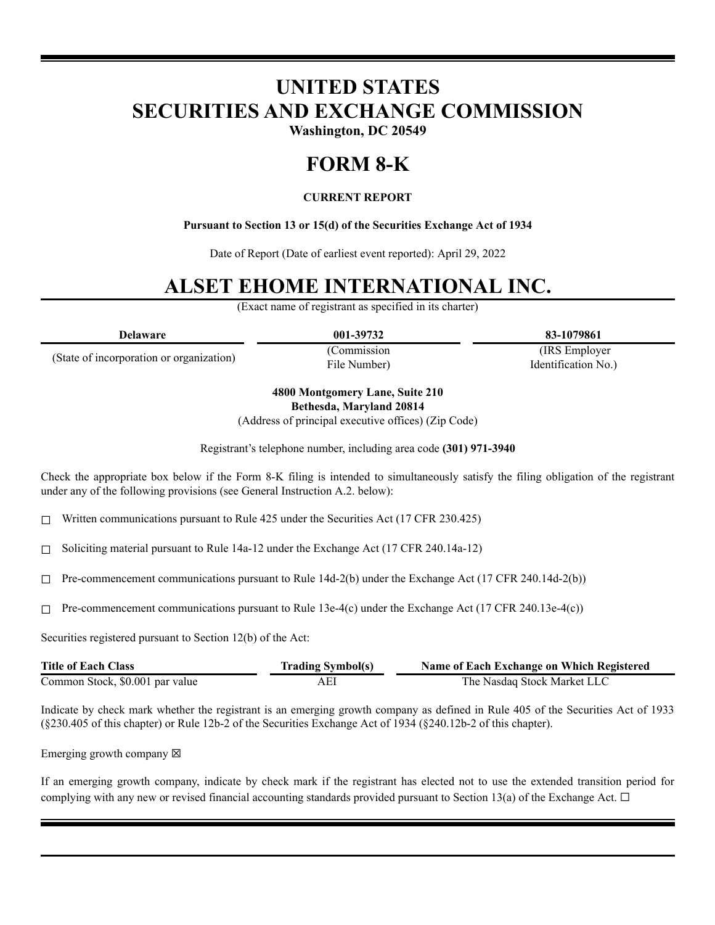# **UNITED STATES SECURITIES AND EXCHANGE COMMISSION**

**Washington, DC 20549**

### **FORM 8-K**

#### **CURRENT REPORT**

#### **Pursuant to Section 13 or 15(d) of the Securities Exchange Act of 1934**

Date of Report (Date of earliest event reported): April 29, 2022

## **ALSET EHOME INTERNATIONAL INC.**

(Exact name of registrant as specified in its charter)

| Delaware                                 | 001-39732    | 83-1079861          |
|------------------------------------------|--------------|---------------------|
| (State of incorporation or organization) | (Commission) | (IRS Employer)      |
|                                          | File Number) | Identification No.) |

**4800 Montgomery Lane, Suite 210 Bethesda, Maryland 20814**

(Address of principal executive offices) (Zip Code)

Registrant's telephone number, including area code **(301) 971-3940**

Check the appropriate box below if the Form 8-K filing is intended to simultaneously satisfy the filing obligation of the registrant under any of the following provisions (see General Instruction A.2. below):

 $\Box$  Written communications pursuant to Rule 425 under the Securities Act (17 CFR 230.425)

☐ Soliciting material pursuant to Rule 14a-12 under the Exchange Act (17 CFR 240.14a-12)

 $\Box$  Pre-commencement communications pursuant to Rule 14d-2(b) under the Exchange Act (17 CFR 240.14d-2(b))

 $\Box$  Pre-commencement communications pursuant to Rule 13e-4(c) under the Exchange Act (17 CFR 240.13e-4(c))

Securities registered pursuant to Section 12(b) of the Act:

| <b>Title of Each Class</b>      | <b>Trading Symbol(s)</b> | Name of Each Exchange on Which Registered |
|---------------------------------|--------------------------|-------------------------------------------|
| Common Stock, \$0.001 par value |                          | The Nasdag Stock Market LLC               |

Indicate by check mark whether the registrant is an emerging growth company as defined in Rule 405 of the Securities Act of 1933 (§230.405 of this chapter) or Rule 12b-2 of the Securities Exchange Act of 1934 (§240.12b-2 of this chapter).

Emerging growth company  $\boxtimes$ 

If an emerging growth company, indicate by check mark if the registrant has elected not to use the extended transition period for complying with any new or revised financial accounting standards provided pursuant to Section 13(a) of the Exchange Act.  $\Box$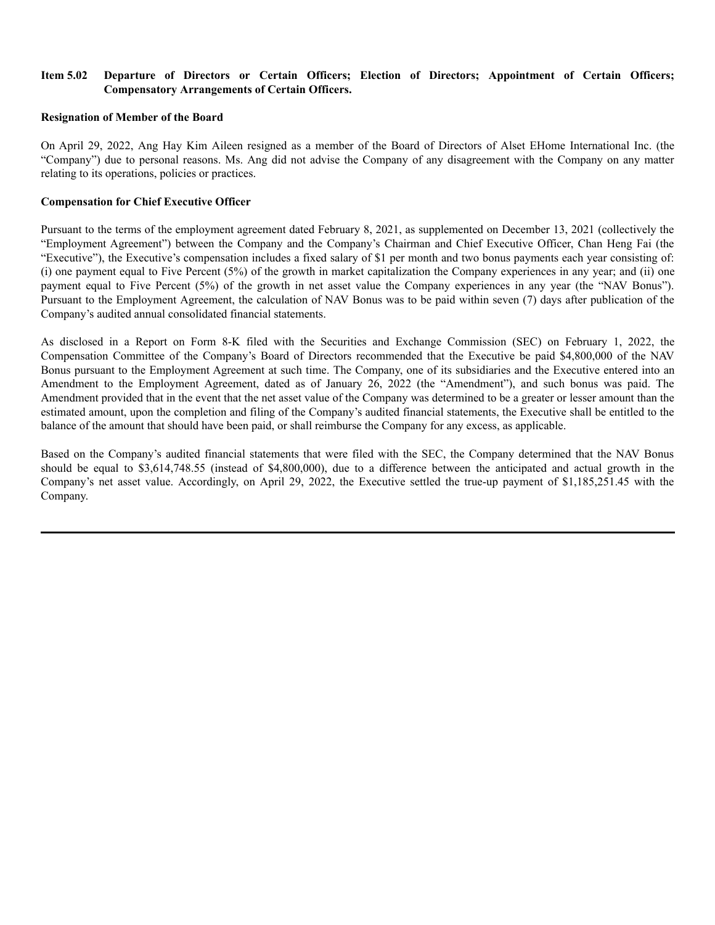#### **Item 5.02 Departure of Directors or Certain Officers; Election of Directors; Appointment of Certain Officers; Compensatory Arrangements of Certain Officers.**

#### **Resignation of Member of the Board**

On April 29, 2022, Ang Hay Kim Aileen resigned as a member of the Board of Directors of Alset EHome International Inc. (the "Company") due to personal reasons. Ms. Ang did not advise the Company of any disagreement with the Company on any matter relating to its operations, policies or practices.

#### **Compensation for Chief Executive Officer**

Pursuant to the terms of the employment agreement dated February 8, 2021, as supplemented on December 13, 2021 (collectively the "Employment Agreement") between the Company and the Company's Chairman and Chief Executive Officer, Chan Heng Fai (the "Executive"), the Executive's compensation includes a fixed salary of \$1 per month and two bonus payments each year consisting of: (i) one payment equal to Five Percent (5%) of the growth in market capitalization the Company experiences in any year; and (ii) one payment equal to Five Percent (5%) of the growth in net asset value the Company experiences in any year (the "NAV Bonus"). Pursuant to the Employment Agreement, the calculation of NAV Bonus was to be paid within seven (7) days after publication of the Company's audited annual consolidated financial statements.

As disclosed in a Report on Form 8-K filed with the Securities and Exchange Commission (SEC) on February 1, 2022, the Compensation Committee of the Company's Board of Directors recommended that the Executive be paid \$4,800,000 of the NAV Bonus pursuant to the Employment Agreement at such time. The Company, one of its subsidiaries and the Executive entered into an Amendment to the Employment Agreement, dated as of January 26, 2022 (the "Amendment"), and such bonus was paid. The Amendment provided that in the event that the net asset value of the Company was determined to be a greater or lesser amount than the estimated amount, upon the completion and filing of the Company's audited financial statements, the Executive shall be entitled to the balance of the amount that should have been paid, or shall reimburse the Company for any excess, as applicable.

Based on the Company's audited financial statements that were filed with the SEC, the Company determined that the NAV Bonus should be equal to \$3,614,748.55 (instead of \$4,800,000), due to a difference between the anticipated and actual growth in the Company's net asset value. Accordingly, on April 29, 2022, the Executive settled the true-up payment of \$1,185,251.45 with the Company.